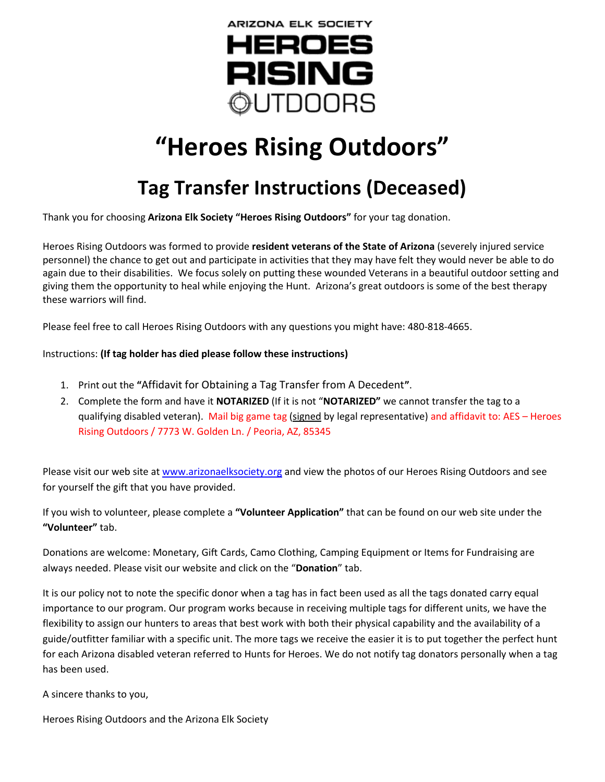

## **"Heroes Rising Outdoors"**

## **Tag Transfer Instructions (Deceased)**

Thank you for choosing **Arizona Elk Society "Heroes Rising Outdoors"** for your tag donation.

Heroes Rising Outdoors was formed to provide **resident veterans of the State of Arizona** (severely injured service personnel) the chance to get out and participate in activities that they may have felt they would never be able to do again due to their disabilities. We focus solely on putting these wounded Veterans in a beautiful outdoor setting and giving them the opportunity to heal while enjoying the Hunt. Arizona's great outdoors is some of the best therapy these warriors will find.

Please feel free to call Heroes Rising Outdoors with any questions you might have: 480-818-4665.

## Instructions: **(If tag holder has died please follow these instructions)**

- 1. Print out the **"**Affidavit for Obtaining a Tag Transfer from A Decedent**"**.
- 2. Complete the form and have it **NOTARIZED** (If it is not "**NOTARIZED"** we cannot transfer the tag to a qualifying disabled veteran). Mail big game tag (signed by legal representative) and affidavit to: AES – Heroes Rising Outdoors / 7773 W. Golden Ln. / Peoria, AZ, 85345

Please visit our web site at [www.arizonaelksociety.org](http://www.arizonaelksociety.org/) and view the photos of our Heroes Rising Outdoors and see for yourself the gift that you have provided.

If you wish to volunteer, please complete a **"Volunteer Application"** that can be found on our web site under the **"Volunteer"** tab.

Donations are welcome: Monetary, Gift Cards, Camo Clothing, Camping Equipment or Items for Fundraising are always needed. Please visit our website and click on the "**Donation**" tab.

It is our policy not to note the specific donor when a tag has in fact been used as all the tags donated carry equal importance to our program. Our program works because in receiving multiple tags for different units, we have the flexibility to assign our hunters to areas that best work with both their physical capability and the availability of a guide/outfitter familiar with a specific unit. The more tags we receive the easier it is to put together the perfect hunt for each Arizona disabled veteran referred to Hunts for Heroes. We do not notify tag donators personally when a tag has been used.

A sincere thanks to you,

Heroes Rising Outdoors and the Arizona Elk Society